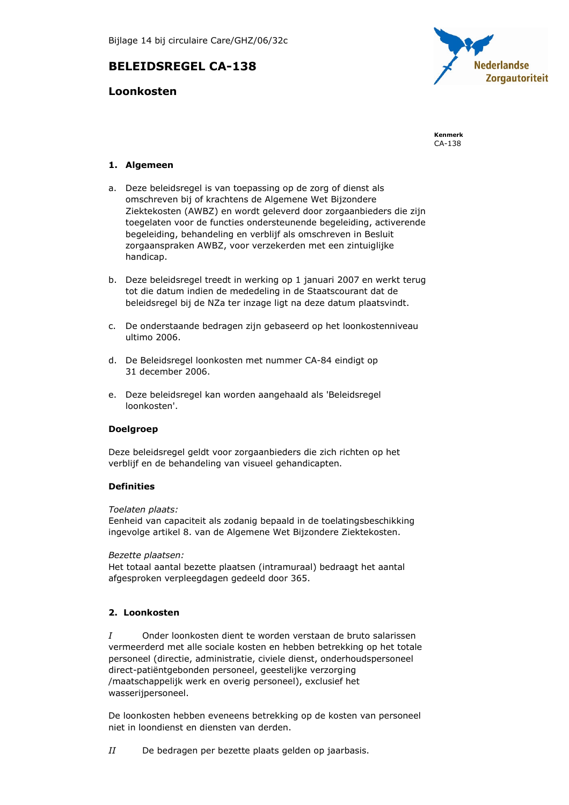# **BELEIDSREGEL CA-138**

# **Loonkosten**



Kenmerk  $CA-138$ 

# 1. Algemeen

- a. Deze beleidsregel is van toepassing op de zorg of dienst als omschreven bij of krachtens de Algemene Wet Bijzondere Ziektekosten (AWBZ) en wordt geleverd door zorgaanbieders die zijn toegelaten voor de functies ondersteunende begeleiding, activerende begeleiding, behandeling en verblijf als omschreven in Besluit zorgaanspraken AWBZ, voor verzekerden met een zintuiglijke handicap.
- b. Deze beleidsregel treedt in werking op 1 januari 2007 en werkt terug tot die datum indien de mededeling in de Staatscourant dat de beleidsregel bij de NZa ter inzage ligt na deze datum plaatsvindt.
- c. De onderstaande bedragen zijn gebaseerd op het loonkostenniveau ultimo 2006.
- d. De Beleidsregel loonkosten met nummer CA-84 eindigt op 31 december 2006.
- e. Deze beleidsregel kan worden aangehaald als 'Beleidsregel loonkosten'.

# **Doelgroep**

Deze beleidsregel geldt voor zorgaanbieders die zich richten op het verblijf en de behandeling van visueel gehandicapten.

# **Definities**

Toelaten plaats:

Eenheid van capaciteit als zodanig bepaald in de toelatingsbeschikking ingevolge artikel 8. van de Algemene Wet Bijzondere Ziektekosten.

Bezette plaatsen:

Het totaal aantal bezette plaatsen (intramuraal) bedraagt het aantal afgesproken verpleegdagen gedeeld door 365.

# 2. Loonkosten

 $\overline{I}$ Onder loonkosten dient te worden verstaan de bruto salarissen vermeerderd met alle sociale kosten en hebben betrekking op het totale personeel (directie, administratie, civiele dienst, onderhoudspersoneel direct-patiëntgebonden personeel, geestelijke verzorging /maatschappelijk werk en overig personeel), exclusief het wasserijpersoneel.

De loonkosten hebben eveneens betrekking op de kosten van personeel niet in loondienst en diensten van derden.

 $II$ De bedragen per bezette plaats gelden op jaarbasis.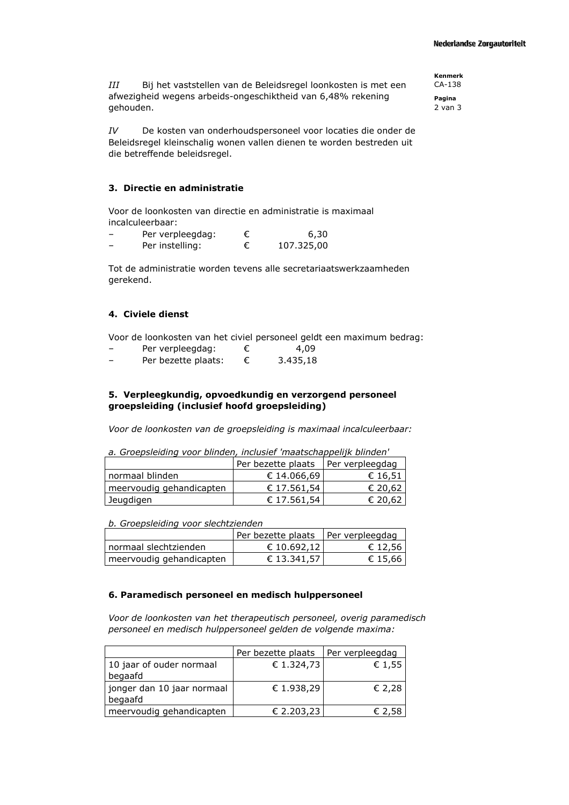$III$ Bij het vaststellen van de Beleidsregel loonkosten is met een afwezigheid wegens arbeids-ongeschiktheid van 6,48% rekening gehouden.

 $IV$ De kosten van onderhoudspersoneel voor locaties die onder de Beleidsregel kleinschalig wonen vallen dienen te worden bestreden uit die betreffende beleidsregel.

### 3. Directie en administratie

Voor de loonkosten van directie en administratie is maximaal incalculeerbaar:

| Per verpleegdag: | 6,30       |
|------------------|------------|
| Per instelling:  | 107.325,00 |

Tot de administratie worden tevens alle secretariaatswerkzaamheden gerekend.

#### 4. Civiele dienst

Voor de loonkosten van het civiel personeel geldt een maximum bedrag:

| Per verpleegdag:    | 4,09     |
|---------------------|----------|
| Per bezette plaats: | 3.435,18 |

# 5. Verpleegkundig, opvoedkundig en verzorgend personeel groepsleiding (inclusief hoofd groepsleiding)

Voor de loonkosten van de groepsleiding is maximaal incalculeerbaar:

a. Groepsleiding voor blinden, inclusief 'maatschappelijk blinden'

|                          | Per bezette plaats | Per verpleegdag |
|--------------------------|--------------------|-----------------|
| l normaal blinden        | € 14.066,69        | € 16,51         |
| meervoudig gehandicapten | € 17.561,54        | € 20,62         |
| Jeugdigen                | € 17.561.54        | € 20,62         |

b. Groepsleiding voor slechtzienden

|                          | Per bezette plaats   Per verpleegdag |         |
|--------------------------|--------------------------------------|---------|
| normaal slechtzienden    | € 10.692,12                          | € 12,56 |
| meervoudig gehandicapten | € 13.341,57                          | € 15.66 |

#### 6. Paramedisch personeel en medisch hulppersoneel

Voor de loonkosten van het therapeutisch personeel, overig paramedisch personeel en medisch hulppersoneel gelden de volgende maxima:

|                            | Per bezette plaats | Per verpleegdag |
|----------------------------|--------------------|-----------------|
| 10 jaar of ouder normaal   | € 1.324,73         | € 1,55          |
| begaafd                    |                    |                 |
| jonger dan 10 jaar normaal | € 1.938,29         | € 2.28          |
| begaafd                    |                    |                 |
| meervoudig gehandicapten   | € 2.203,23         | € 2,58          |

**Kenmerk** CA-138

Pagina  $2$  van  $3$